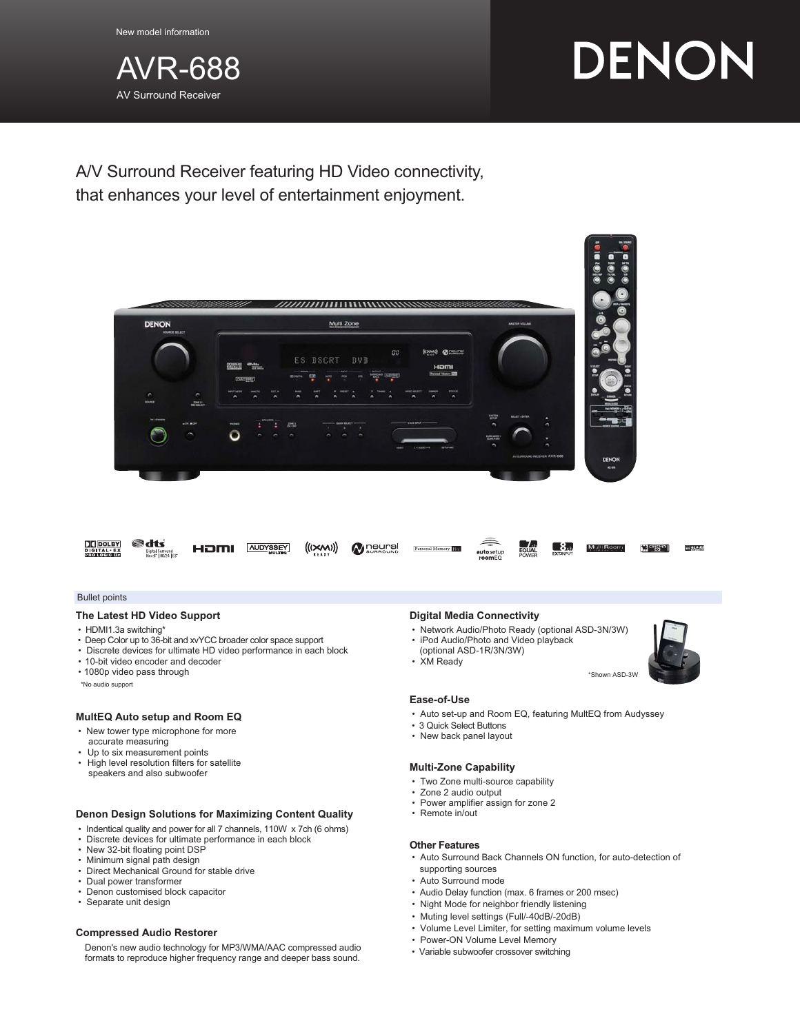

# DENON

A/V Surround Receiver featuring HD Video connectivity, that enhances your level of entertainment enjoyment.



#### Bullet points

### **The Latest HD Video Support**

- HDMI1.3a switching\*
- Deep Color up to 36-bit and xvYCC broader color space support
- Discrete devices for ultimate HD video performance in each block
- 10-bit video encoder and decoder
- 1080p video pass through
- \*No audio support

## **MultEQ Auto setup and Room EQ**

- New tower type microphone for more
- accurate measuring • Up to six measurement points
- High level resolution filters for satellite
- speakers and also subwoofer

#### **Denon Design Solutions for Maximizing Content Quality**

- Indentical quality and power for all 7 channels, 110W x 7ch (6 ohms)
- Discrete devices for ultimate performance in each block
- New 32-bit floating point DSP
- Minimum signal path design
- Direct Mechanical Ground for stable drive
- Dual power transformer
- Denon customised block capacitor
- Separate unit design

#### **Compressed Audio Restorer**

Denon's new audio technology for MP3/WMA/AAC compressed audio formats to reproduce higher frequency range and deeper bass sound.

#### **Digital Media Connectivity**

- Network Audio/Photo Ready (optional ASD-3N/3W)
- iPod Audio/Photo and Video playback
- (optional ASD-1R/3N/3W)
- XM Ready



#### **Ease-of-Use**

- Auto set-up and Room EQ, featuring MultEQ from Audyssey
- 3 Quick Select Buttons
- New back panel layout

#### **Multi-Zone Capability**

- Two Zone multi-source capability
- Zone 2 audio output
- Power amplifier assign for zone 2
- Remote in/out

#### **Other Features**

- Auto Surround Back Channels ON function, for auto-detection of supporting sources
- Auto Surround mode
- Audio Delay function (max. 6 frames or 200 msec)
- Night Mode for neighbor friendly listening
- Muting level settings (Full/-40dB/-20dB)
- Volume Level Limiter, for setting maximum volume levels
- Power-ON Volume Level Memory
- Variable subwoofer crossover switching